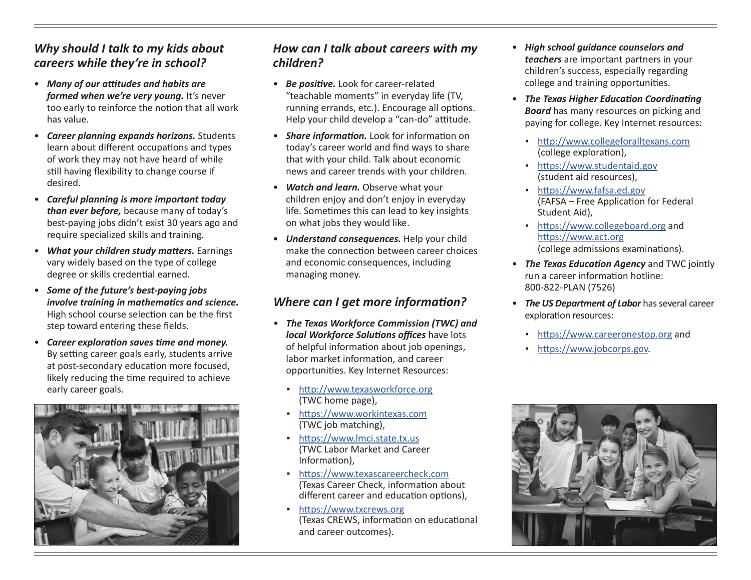## *Why should I talk to my kids about careers while they're in school?*

- *Many of our attitudes and habits are formed when we're very young.* It's never too early to reinforce the notion that all work has value.
- *Career planning expands horizons.* Students learn about different occupations and types of work they may not have heard of while still having flexibility to change course if desired.
- *Careful planning is more important today than ever before,* because many of today's best-paying jobs didn't exist 30 years ago and require specialized skills and training.
- *What your children study matters.* Earnings vary widely based on the type of college degree or skills credential earned.
- *Some of the future's best-paying jobs involve training in mathematics and science.* High school course selection can be the first step toward entering these fields.
- *Career exploration saves time and money.*  By setting career goals early, students arrive at post-secondary education more focused, likely reducing the time required to achieve early career goals.



#### *How can I talk about careers with my children?*

- *Be positive.* Look for career-related "teachable moments" in everyday life (TV, running errands, etc.). Encourage all options. Help your child develop a "can-do" attitude.
- *Share information.* Look for information on today's career world and find ways to share that with your child. Talk about economic news and career trends with your children.
- *Watch and learn.* Observe what your children enjoy and don't enjoy in everyday life. Sometimes this can lead to key insights on what jobs they would like.
- *Understand consequences.* Help your child make the connection between career choices and economic consequences, including managing money.

# *Where can I get more information?*

- *The Texas Workforce Commission (TWC) and local Workforce Solutions offices* have lots of helpful information about job openings, labor market information, and career opportunities. Key Internet Resources:
	- <http://www.texasworkforce.org> (TWC home page),
	- <https://www.workintexas.com> (TWC job matching),
	- <https://www.lmci.state.tx.us> (TWC Labor Market and Career Information),
	- <https://www.texascareercheck.com> (Texas Career Check, information about different career and education options),
	- <https://www.txcrews.org> (Texas CREWS, information on educational and career outcomes).
- *High school guidance counselors and teachers* are important partners in your children's success, especially regarding college and training opportunities.
- *The Texas Higher Education Coordinating Board* has many resources on picking and paying for college. Key Internet resources:
	- <http://www.collegeforalltexans.com> (college exploration),
	- <https://www.studentaid.gov> (student aid resources),
	- <https://www.fafsa.ed.gov> (FAFSA – Free Application for Federal Student Aid),
	- <https://www.collegeboard.org> and <https://www.act.org> (college admissions examinations).
- *The Texas Education Agency* and TWC jointly run a career information hotline: 800-822-PLAN (7526)
- *The US Department of Labor* has several career exploration resources:
	- <https://www.careeronestop.org> and
	- <https://www.jobcorps.gov>.